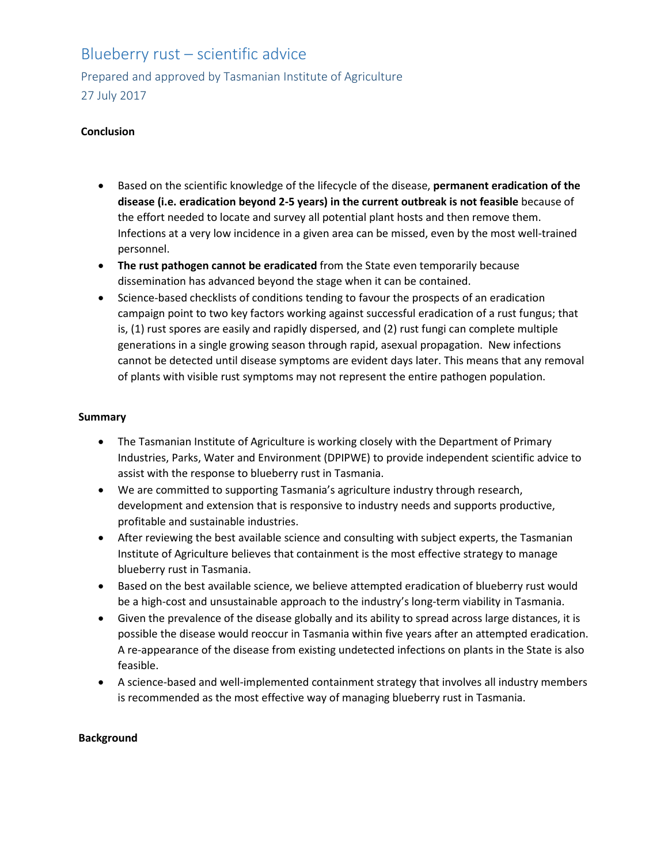## Blueberry rust – scientific advice

Prepared and approved by Tasmanian Institute of Agriculture 27 July 2017

## **Conclusion**

- Based on the scientific knowledge of the lifecycle of the disease, **permanent eradication of the disease (i.e. eradication beyond 2-5 years) in the current outbreak is not feasible** because of the effort needed to locate and survey all potential plant hosts and then remove them. Infections at a very low incidence in a given area can be missed, even by the most well-trained personnel.
- **The rust pathogen cannot be eradicated** from the State even temporarily because dissemination has advanced beyond the stage when it can be contained.
- Science-based checklists of conditions tending to favour the prospects of an eradication campaign point to two key factors working against successful eradication of a rust fungus; that is, (1) rust spores are easily and rapidly dispersed, and (2) rust fungi can complete multiple generations in a single growing season through rapid, asexual propagation. New infections cannot be detected until disease symptoms are evident days later. This means that any removal of plants with visible rust symptoms may not represent the entire pathogen population.

## **Summary**

- The Tasmanian Institute of Agriculture is working closely with the Department of Primary Industries, Parks, Water and Environment (DPIPWE) to provide independent scientific advice to assist with the response to blueberry rust in Tasmania.
- We are committed to supporting Tasmania's agriculture industry through research, development and extension that is responsive to industry needs and supports productive, profitable and sustainable industries.
- After reviewing the best available science and consulting with subject experts, the Tasmanian Institute of Agriculture believes that containment is the most effective strategy to manage blueberry rust in Tasmania.
- Based on the best available science, we believe attempted eradication of blueberry rust would be a high-cost and unsustainable approach to the industry's long-term viability in Tasmania.
- Given the prevalence of the disease globally and its ability to spread across large distances, it is possible the disease would reoccur in Tasmania within five years after an attempted eradication. A re-appearance of the disease from existing undetected infections on plants in the State is also feasible.
- A science-based and well-implemented containment strategy that involves all industry members is recommended as the most effective way of managing blueberry rust in Tasmania.

## **Background**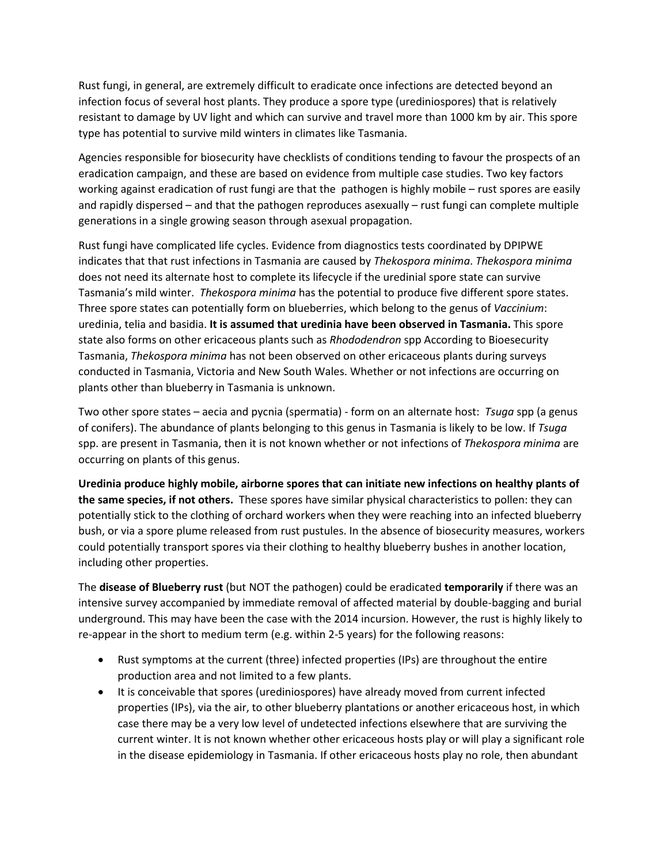Rust fungi, in general, are extremely difficult to eradicate once infections are detected beyond an infection focus of several host plants. They produce a spore type (urediniospores) that is relatively resistant to damage by UV light and which can survive and travel more than 1000 km by air. This spore type has potential to survive mild winters in climates like Tasmania.

Agencies responsible for biosecurity have checklists of conditions tending to favour the prospects of an eradication campaign, and these are based on evidence from multiple case studies. Two key factors working against eradication of rust fungi are that the pathogen is highly mobile – rust spores are easily and rapidly dispersed – and that the pathogen reproduces asexually – rust fungi can complete multiple generations in a single growing season through asexual propagation.

Rust fungi have complicated life cycles. Evidence from diagnostics tests coordinated by DPIPWE indicates that that rust infections in Tasmania are caused by *Thekospora minima*. *Thekospora minima* does not need its alternate host to complete its lifecycle if the uredinial spore state can survive Tasmania's mild winter. *Thekospora minima* has the potential to produce five different spore states. Three spore states can potentially form on blueberries, which belong to the genus of *Vaccinium*: uredinia, telia and basidia. **It is assumed that uredinia have been observed in Tasmania.** This spore state also forms on other ericaceous plants such as *Rhododendron* spp According to Bioesecurity Tasmania, *Thekospora minima* has not been observed on other ericaceous plants during surveys conducted in Tasmania, Victoria and New South Wales. Whether or not infections are occurring on plants other than blueberry in Tasmania is unknown.

Two other spore states – aecia and pycnia (spermatia) - form on an alternate host: *Tsuga* spp (a genus of conifers). The abundance of plants belonging to this genus in Tasmania is likely to be low. If *Tsuga*  spp. are present in Tasmania, then it is not known whether or not infections of *Thekospora minima* are occurring on plants of this genus.

**Uredinia produce highly mobile, airborne spores that can initiate new infections on healthy plants of the same species, if not others.** These spores have similar physical characteristics to pollen: they can potentially stick to the clothing of orchard workers when they were reaching into an infected blueberry bush, or via a spore plume released from rust pustules. In the absence of biosecurity measures, workers could potentially transport spores via their clothing to healthy blueberry bushes in another location, including other properties.

The **disease of Blueberry rust** (but NOT the pathogen) could be eradicated **temporarily** if there was an intensive survey accompanied by immediate removal of affected material by double-bagging and burial underground. This may have been the case with the 2014 incursion. However, the rust is highly likely to re-appear in the short to medium term (e.g. within 2-5 years) for the following reasons:

- Rust symptoms at the current (three) infected properties (IPs) are throughout the entire production area and not limited to a few plants.
- It is conceivable that spores (urediniospores) have already moved from current infected properties (IPs), via the air, to other blueberry plantations or another ericaceous host, in which case there may be a very low level of undetected infections elsewhere that are surviving the current winter. It is not known whether other ericaceous hosts play or will play a significant role in the disease epidemiology in Tasmania. If other ericaceous hosts play no role, then abundant